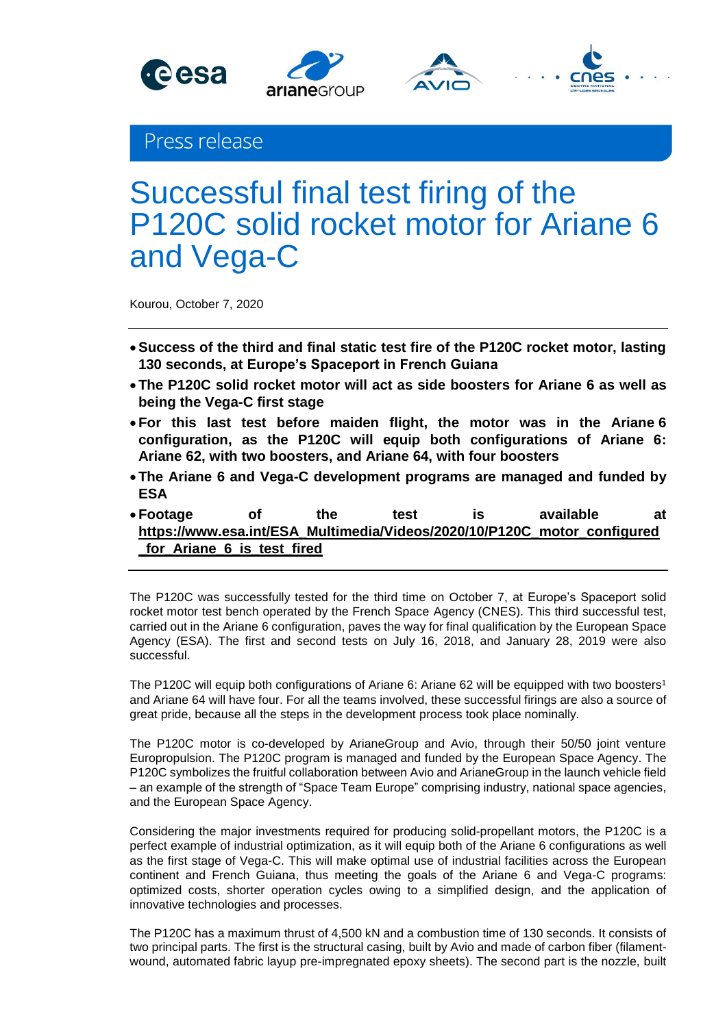





## Press release

# Successful final test firing of the P120C solid rocket motor for Ariane 6 and Vega-C

Kourou, October 7, 2020

- **Success of the third and final static test fire of the P120C rocket motor, lasting 130 seconds, at Europe's Spaceport in French Guiana**
- **The P120C solid rocket motor will act as side boosters for Ariane 6 as well as being the Vega-C first stage**
- **For this last test before maiden flight, the motor was in the Ariane 6 configuration, as the P120C will equip both configurations of Ariane 6: Ariane 62, with two boosters, and Ariane 64, with four boosters**
- **The Ariane 6 and Vega-C development programs are managed and funded by ESA**
- **Footage of the test is available at [https://www.esa.int/ESA\\_Multimedia/Videos/2020/10/P120C\\_motor\\_configured](https://www.esa.int/ESA_Multimedia/Videos/2020/10/P120C_motor_configured_for_Ariane_6_is_test_fired) [\\_for\\_Ariane\\_6\\_is\\_test\\_fired](https://www.esa.int/ESA_Multimedia/Videos/2020/10/P120C_motor_configured_for_Ariane_6_is_test_fired)**

The P120C was successfully tested for the third time on October 7, at Europe's Spaceport solid rocket motor test bench operated by the French Space Agency (CNES). This third successful test, carried out in the Ariane 6 configuration, paves the way for final qualification by the European Space Agency (ESA). The first and second tests on July 16, 2018, and January 28, 2019 were also successful.

The P120C will equip both configurations of Ariane 6: Ariane 62 will be equipped with two boosters<sup>1</sup> and Ariane 64 will have four. For all the teams involved, these successful firings are also a source of great pride, because all the steps in the development process took place nominally.

The P120C motor is co-developed by ArianeGroup and Avio, through their 50/50 joint venture Europropulsion. The P120C program is managed and funded by the European Space Agency. The P120C symbolizes the fruitful collaboration between Avio and ArianeGroup in the launch vehicle field – an example of the strength of "Space Team Europe" comprising industry, national space agencies, and the European Space Agency.

Considering the major investments required for producing solid-propellant motors, the P120C is a perfect example of industrial optimization, as it will equip both of the Ariane 6 configurations as well as the first stage of Vega-C. This will make optimal use of industrial facilities across the European continent and French Guiana, thus meeting the goals of the Ariane 6 and Vega-C programs: optimized costs, shorter operation cycles owing to a simplified design, and the application of innovative technologies and processes.

The P120C has a maximum thrust of 4,500 kN and a combustion time of 130 seconds. It consists of two principal parts. The first is the structural casing, built by Avio and made of carbon fiber (filamentwound, automated fabric layup pre-impregnated epoxy sheets). The second part is the nozzle, built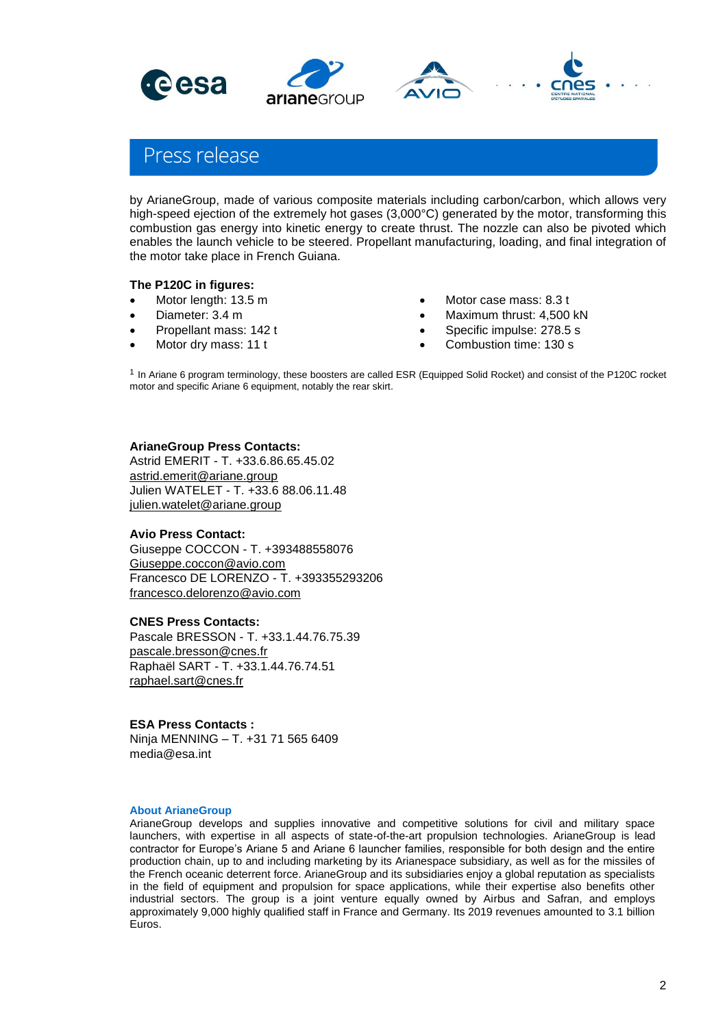





# Press release

by ArianeGroup, made of various composite materials including carbon/carbon, which allows very high-speed ejection of the extremely hot gases (3,000°C) generated by the motor, transforming this combustion gas energy into kinetic energy to create thrust. The nozzle can also be pivoted which enables the launch vehicle to be steered. Propellant manufacturing, loading, and final integration of the motor take place in French Guiana.

## **The P120C in figures:**

- Motor length: 13.5 m
- Diameter: 3.4 m
- Propellant mass: 142 t
- Motor dry mass: 11 t
- Motor case mass: 8.3 t
- Maximum thrust: 4,500 kN
- Specific impulse: 278.5 s
- Combustion time: 130 s

<sup>1</sup> In Ariane 6 program terminology, these boosters are called ESR (Equipped Solid Rocket) and consist of the P120C rocket motor and specific Ariane 6 equipment, notably the rear skirt.

## **ArianeGroup Press Contacts:**

Astrid EMERIT - T. +33.6.86.65.45.02 [astrid.emerit@ariane.group](mailto:astrid.emerit@ariane.group) Julien WATELET - T. +33.6 88.06.11.48 [julien.watelet@ariane.group](mailto:julien.watelet@ariane.group)

### **Avio Press Contact:**

Giuseppe COCCON - T. +393488558076 [Giuseppe.coccon@avio.com](mailto:Giuseppe.coccon@avio.com) Francesco DE LORENZO - T. +393355293206 [francesco.delorenzo@avio.com](mailto:francesco.delorenzo@avio.com)

#### **CNES Press Contacts:**

Pascale BRESSON - T. +33.1.44.76.75.39 [pascale.bresson@cnes.fr](mailto:astrid.emerit@ariane.group) Raphaël SART - T. +33.1.44.76.74.51 [raphael.sart@cnes.fr](mailto:julien.watelet@ariane.group)

### **ESA Press Contacts :**

Ninja MENNING – T. +31 71 565 6409 media@esa.int

#### **About ArianeGroup**

ArianeGroup develops and supplies innovative and competitive solutions for civil and military space launchers, with expertise in all aspects of state-of-the-art propulsion technologies. ArianeGroup is lead contractor for Europe's Ariane 5 and Ariane 6 launcher families, responsible for both design and the entire production chain, up to and including marketing by its Arianespace subsidiary, as well as for the missiles of the French oceanic deterrent force. ArianeGroup and its subsidiaries enjoy a global reputation as specialists in the field of equipment and propulsion for space applications, while their expertise also benefits other industrial sectors. The group is a joint venture equally owned by Airbus and Safran, and employs approximately 9,000 highly qualified staff in France and Germany. Its 2019 revenues amounted to 3.1 billion Euros.